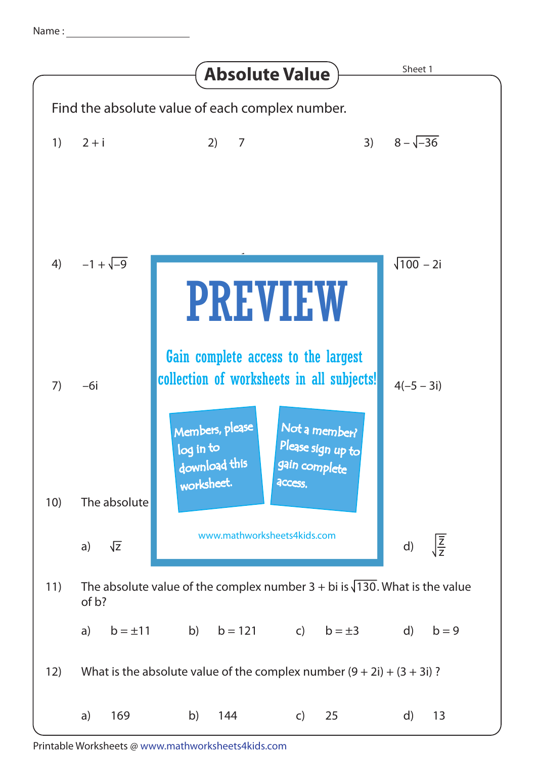